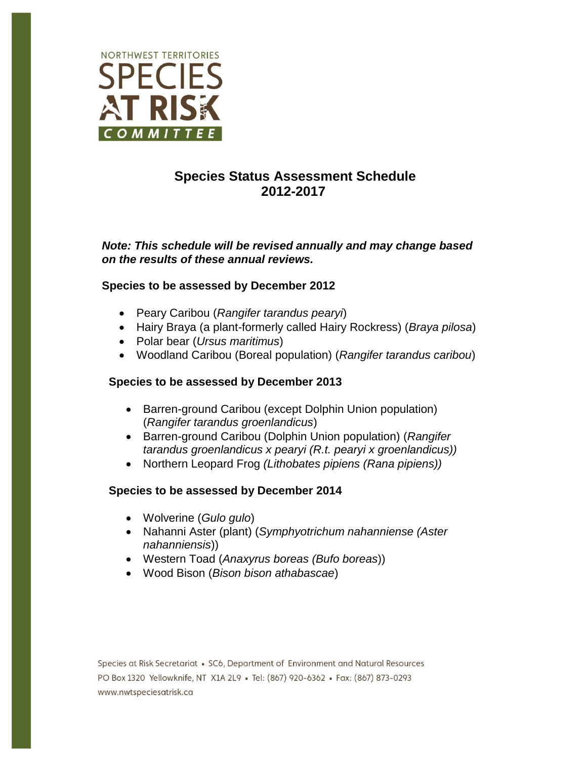

# **Species Status Assessment Schedule 2012-2017**

*Note: This schedule will be revised annually and may change based on the results of these annual reviews.*

## **Species to be assessed by December 2012**

- Peary Caribou (*Rangifer tarandus pearyi*)
- Hairy Braya (a plant-formerly called Hairy Rockress) (*Braya pilosa*)
- Polar bear (*Ursus maritimus*)
- Woodland Caribou (Boreal population) (*Rangifer tarandus caribou*)

#### **Species to be assessed by December 2013**

- Barren-ground Caribou (except Dolphin Union population) (*Rangifer tarandus groenlandicus*)
- Barren-ground Caribou (Dolphin Union population) (*Rangifer tarandus groenlandicus x pearyi (R.t. pearyi x groenlandicus))*
- Northern Leopard Frog *(Lithobates pipiens (Rana pipiens))*

#### **Species to be assessed by December 2014**

- Wolverine (*Gulo gulo*)
- Nahanni Aster (plant) (*Symphyotrichum nahanniense (Aster nahanniensis*))
- Western Toad (*Anaxyrus boreas (Bufo boreas*))
- Wood Bison (*Bison bison athabascae*)

Species at Risk Secretariat • SC6, Department of Environment and Natural Resources PO Box 1320 Yellowknife, NT X1A 2L9 - Tel: (867) 920-6362 - Fax: (867) 873-0293 www.nwtspeciesatrisk.ca